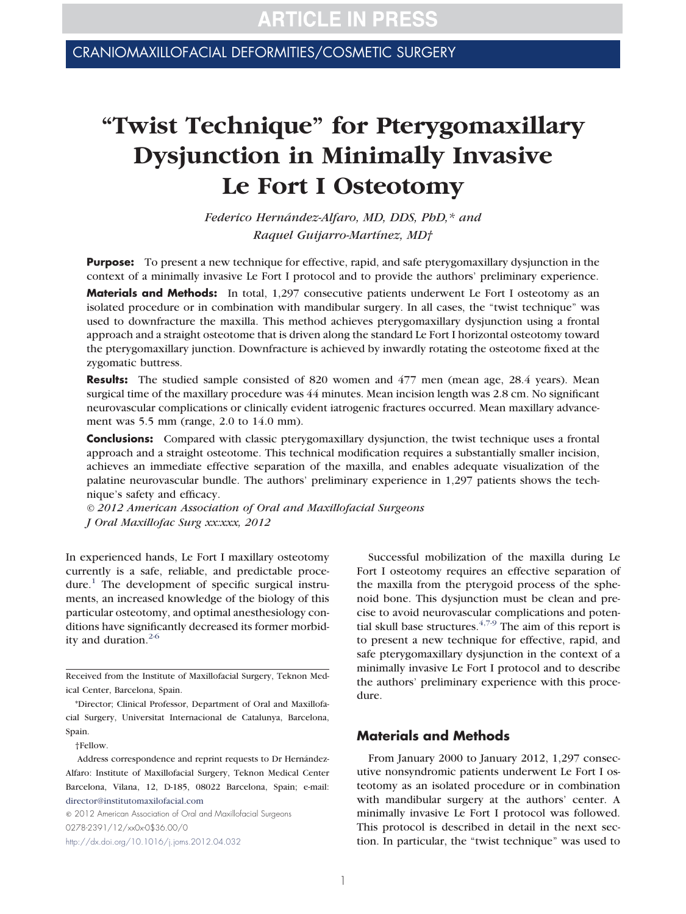CRANIOMAXILLOFACIAL DEFORMITIES/COSMETIC SURGERY

# **"Twist Technique" for Pterygomaxillary Dysjunction in Minimally Invasive Le Fort I Osteotomy**

*Federico Hernández-Alfaro, MD, DDS, PhD,\* and Raquel Guijarro-Martínez, MD†*

**Purpose:** To present a new technique for effective, rapid, and safe pterygomaxillary dysjunction in the context of a minimally invasive Le Fort I protocol and to provide the authors' preliminary experience.

**Materials and Methods:** In total, 1,297 consecutive patients underwent Le Fort I osteotomy as an isolated procedure or in combination with mandibular surgery. In all cases, the "twist technique" was used to downfracture the maxilla. This method achieves pterygomaxillary dysjunction using a frontal approach and a straight osteotome that is driven along the standard Le Fort I horizontal osteotomy toward the pterygomaxillary junction. Downfracture is achieved by inwardly rotating the osteotome fixed at the zygomatic buttress.

**Results:** The studied sample consisted of 820 women and 477 men (mean age, 28.4 years). Mean surgical time of the maxillary procedure was 44 minutes. Mean incision length was 2.8 cm. No significant neurovascular complications or clinically evident iatrogenic fractures occurred. Mean maxillary advancement was 5.5 mm (range, 2.0 to 14.0 mm).

**Conclusions:** Compared with classic pterygomaxillary dysjunction, the twist technique uses a frontal approach and a straight osteotome. This technical modification requires a substantially smaller incision, achieves an immediate effective separation of the maxilla, and enables adequate visualization of the palatine neurovascular bundle. The authors' preliminary experience in 1,297 patients shows the technique's safety and efficacy.

*© 2012 American Association of Oral and Maxillofacial Surgeons J Oral Maxillofac Surg xx:xxx, 2012*

In experienced hands, Le Fort I maxillary osteotomy currently is a safe, reliable, and predictable proce-dure.<sup>[1](#page-3-0)</sup> The development of specific surgical instruments, an increased knowledge of the biology of this particular osteotomy, and optimal anesthesiology conditions have significantly decreased its former morbidity and duration. $2-6$ 

Received from the Institute of Maxillofacial Surgery, Teknon Medical Center, Barcelona, Spain.

†Fellow.

© 2012 American Association of Oral and Maxillofacial Surgeons 0278-2391/12/xx0x-0\$36.00/0 <http://dx.doi.org/10.1016/j.joms.2012.04.032>

Successful mobilization of the maxilla during Le Fort I osteotomy requires an effective separation of the maxilla from the pterygoid process of the sphenoid bone. This dysjunction must be clean and precise to avoid neurovascular complications and potential skull base structures.  $4,7-9$  The aim of this report is to present a new technique for effective, rapid, and safe pterygomaxillary dysjunction in the context of a minimally invasive Le Fort I protocol and to describe the authors' preliminary experience with this procedure.

### **Materials and Methods**

From January 2000 to January 2012, 1,297 consecutive nonsyndromic patients underwent Le Fort I osteotomy as an isolated procedure or in combination with mandibular surgery at the authors' center. A minimally invasive Le Fort I protocol was followed. This protocol is described in detail in the next section. In particular, the "twist technique" was used to

<sup>\*</sup>Director; Clinical Professor, Department of Oral and Maxillofacial Surgery, Universitat Internacional de Catalunya, Barcelona, Spain.

Address correspondence and reprint requests to Dr Hernández-Alfaro: Institute of Maxillofacial Surgery, Teknon Medical Center Barcelona, Vilana, 12, D-185, 08022 Barcelona, Spain; e-mail: [director@institutomaxilofacial.com](mailto:director@institutomaxilofacial.com)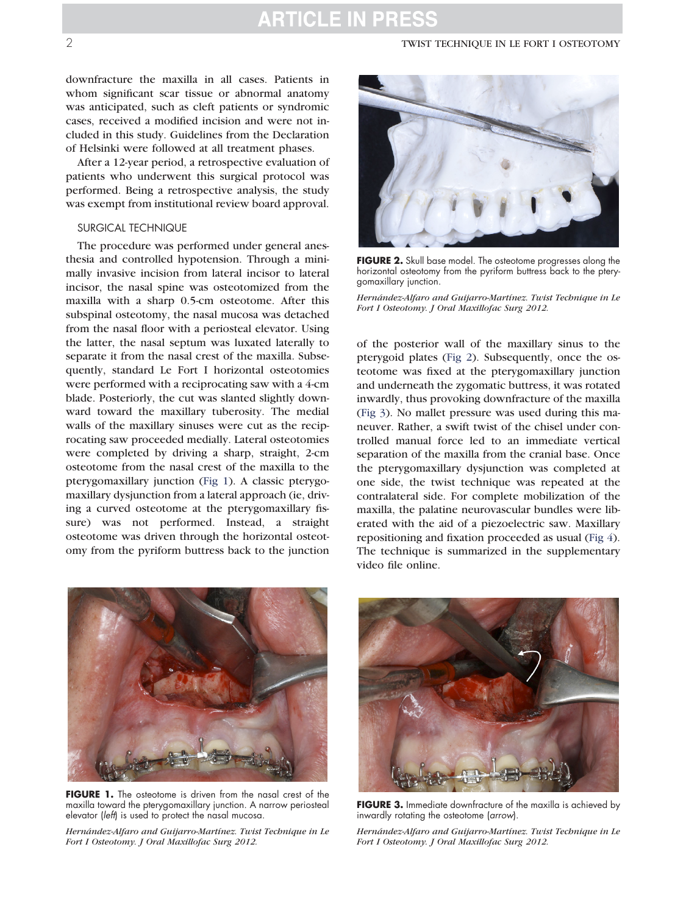## **ARTICLE IN PRESS**

#### 2 TWIST TECHNIQUE IN LE FORT I OSTEOTOMY

downfracture the maxilla in all cases. Patients in whom significant scar tissue or abnormal anatomy was anticipated, such as cleft patients or syndromic cases, received a modified incision and were not included in this study. Guidelines from the Declaration of Helsinki were followed at all treatment phases.

After a 12-year period, a retrospective evaluation of patients who underwent this surgical protocol was performed. Being a retrospective analysis, the study was exempt from institutional review board approval.

#### SURGICAL TECHNIQUE

The procedure was performed under general anesthesia and controlled hypotension. Through a minimally invasive incision from lateral incisor to lateral incisor, the nasal spine was osteotomized from the maxilla with a sharp 0.5-cm osteotome. After this subspinal osteotomy, the nasal mucosa was detached from the nasal floor with a periosteal elevator. Using the latter, the nasal septum was luxated laterally to separate it from the nasal crest of the maxilla. Subsequently, standard Le Fort I horizontal osteotomies were performed with a reciprocating saw with a 4-cm blade. Posteriorly, the cut was slanted slightly downward toward the maxillary tuberosity. The medial walls of the maxillary sinuses were cut as the reciprocating saw proceeded medially. Lateral osteotomies were completed by driving a sharp, straight, 2-cm osteotome from the nasal crest of the maxilla to the pterygomaxillary junction [\(Fig 1\)](#page-1-0). A classic pterygomaxillary dysjunction from a lateral approach (ie, driving a curved osteotome at the pterygomaxillary fissure) was not performed. Instead, a straight osteotome was driven through the horizontal osteotomy from the pyriform buttress back to the junction



**FIGURE 2.** Skull base model. The osteotome progresses along the horizontal osteotomy from the pyriform buttress back to the pterygomaxillary junction.

<span id="page-1-1"></span>*Hernández-Alfaro and Guijarro-Martínez. Twist Technique in Le Fort I Osteotomy. J Oral Maxillofac Surg 2012.*

of the posterior wall of the maxillary sinus to the pterygoid plates [\(Fig 2\)](#page-1-1). Subsequently, once the osteotome was fixed at the pterygomaxillary junction and underneath the zygomatic buttress, it was rotated inwardly, thus provoking downfracture of the maxilla [\(Fig 3\)](#page-1-2). No mallet pressure was used during this maneuver. Rather, a swift twist of the chisel under controlled manual force led to an immediate vertical separation of the maxilla from the cranial base. Once the pterygomaxillary dysjunction was completed at one side, the twist technique was repeated at the contralateral side. For complete mobilization of the maxilla, the palatine neurovascular bundles were liberated with the aid of a piezoelectric saw. Maxillary repositioning and fixation proceeded as usual [\(Fig 4\)](#page-2-0). The technique is summarized in the supplementary video file online.



**FIGURE 1.** The osteotome is driven from the nasal crest of the maxilla toward the pterygomaxillary junction. A narrow periosteal elevator (left) is used to protect the nasal mucosa.

<span id="page-1-0"></span>*Hernández-Alfaro and Guijarro-Martínez. Twist Technique in Le Fort I Osteotomy. J Oral Maxillofac Surg 2012.*



**FIGURE 3.** Immediate downfracture of the maxilla is achieved by inwardly rotating the osteotome (arrow).

<span id="page-1-2"></span>*Hernández-Alfaro and Guijarro-Martínez. Twist Technique in Le Fort I Osteotomy. J Oral Maxillofac Surg 2012.*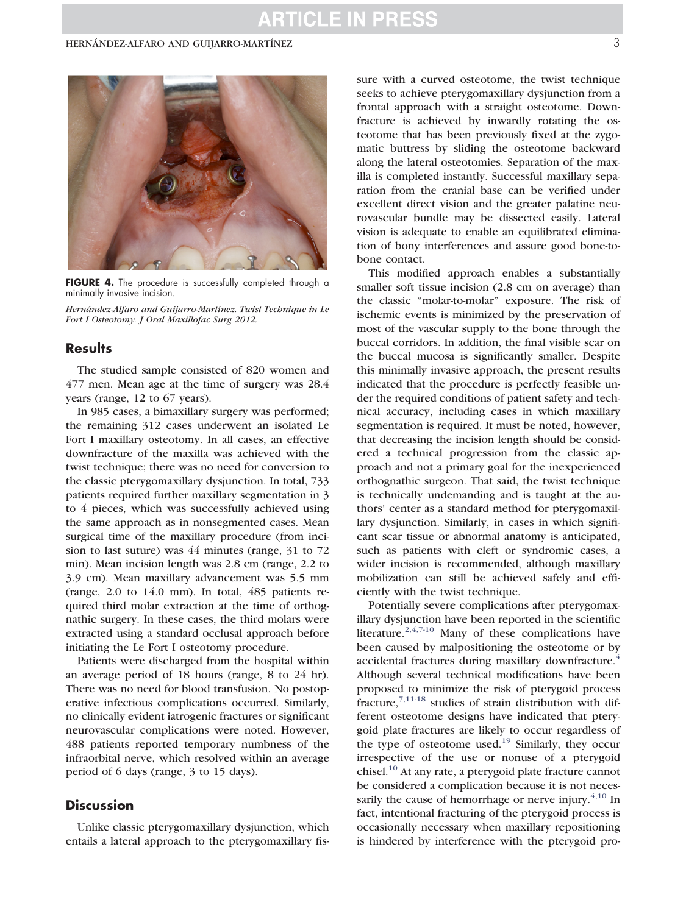#### HERNÁNDEZ-ALFARO AND GUIJARRO-MARTÍNEZ 3



FIGURE 4. The procedure is successfully completed through a minimally invasive incision.

<span id="page-2-0"></span>*Hernández-Alfaro and Guijarro-Martínez. Twist Technique in Le Fort I Osteotomy. J Oral Maxillofac Surg 2012.*

#### **Results**

The studied sample consisted of 820 women and 477 men. Mean age at the time of surgery was 28.4 years (range, 12 to 67 years).

In 985 cases, a bimaxillary surgery was performed; the remaining 312 cases underwent an isolated Le Fort I maxillary osteotomy. In all cases, an effective downfracture of the maxilla was achieved with the twist technique; there was no need for conversion to the classic pterygomaxillary dysjunction. In total, 733 patients required further maxillary segmentation in 3 to 4 pieces, which was successfully achieved using the same approach as in nonsegmented cases. Mean surgical time of the maxillary procedure (from incision to last suture) was 44 minutes (range, 31 to 72 min). Mean incision length was 2.8 cm (range, 2.2 to 3.9 cm). Mean maxillary advancement was 5.5 mm (range, 2.0 to 14.0 mm). In total, 485 patients required third molar extraction at the time of orthognathic surgery. In these cases, the third molars were extracted using a standard occlusal approach before initiating the Le Fort I osteotomy procedure.

Patients were discharged from the hospital within an average period of 18 hours (range, 8 to 24 hr). There was no need for blood transfusion. No postoperative infectious complications occurred. Similarly, no clinically evident iatrogenic fractures or significant neurovascular complications were noted. However, 488 patients reported temporary numbness of the infraorbital nerve, which resolved within an average period of 6 days (range, 3 to 15 days).

#### **Discussion**

Unlike classic pterygomaxillary dysjunction, which entails a lateral approach to the pterygomaxillary fissure with a curved osteotome, the twist technique seeks to achieve pterygomaxillary dysjunction from a frontal approach with a straight osteotome. Downfracture is achieved by inwardly rotating the osteotome that has been previously fixed at the zygomatic buttress by sliding the osteotome backward along the lateral osteotomies. Separation of the maxilla is completed instantly. Successful maxillary separation from the cranial base can be verified under excellent direct vision and the greater palatine neurovascular bundle may be dissected easily. Lateral vision is adequate to enable an equilibrated elimination of bony interferences and assure good bone-tobone contact.

This modified approach enables a substantially smaller soft tissue incision (2.8 cm on average) than the classic "molar-to-molar" exposure. The risk of ischemic events is minimized by the preservation of most of the vascular supply to the bone through the buccal corridors. In addition, the final visible scar on the buccal mucosa is significantly smaller. Despite this minimally invasive approach, the present results indicated that the procedure is perfectly feasible under the required conditions of patient safety and technical accuracy, including cases in which maxillary segmentation is required. It must be noted, however, that decreasing the incision length should be considered a technical progression from the classic approach and not a primary goal for the inexperienced orthognathic surgeon. That said, the twist technique is technically undemanding and is taught at the authors' center as a standard method for pterygomaxillary dysjunction. Similarly, in cases in which significant scar tissue or abnormal anatomy is anticipated, such as patients with cleft or syndromic cases, a wider incision is recommended, although maxillary mobilization can still be achieved safely and efficiently with the twist technique.

Potentially severe complications after pterygomaxillary dysjunction have been reported in the scientific literature. $2,4,7-10$  Many of these complications have been caused by malpositioning the osteotome or by accidental fractures during maxillary downfracture.<sup>[4](#page-3-2)</sup> Although several technical modifications have been proposed to minimize the risk of pterygoid process  $frac{7,11-18}{ }$  $frac{7,11-18}{ }$  $frac{7,11-18}{ }$  studies of strain distribution with different osteotome designs have indicated that pterygoid plate fractures are likely to occur regardless of the type of osteotome used.<sup>[19](#page-3-4)</sup> Similarly, they occur irrespective of the use or nonuse of a pterygoid chisel.<sup>[10](#page-3-5)</sup> At any rate, a pterygoid plate fracture cannot be considered a complication because it is not necessarily the cause of hemorrhage or nerve injury. $4,10$  In fact, intentional fracturing of the pterygoid process is occasionally necessary when maxillary repositioning is hindered by interference with the pterygoid pro-